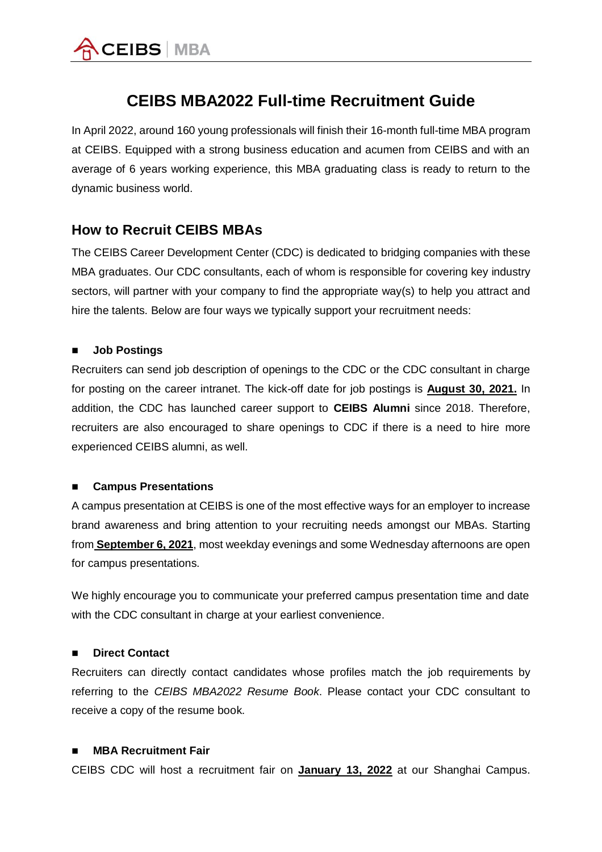

# **CEIBS MBA2022 Full-time Recruitment Guide**

In April 2022, around 160 young professionals will finish their 16-month full-time MBA program at CEIBS. Equipped with a strong business education and acumen from CEIBS and with an average of 6 years working experience, this MBA graduating class is ready to return to the dynamic business world.

## **How to Recruit CEIBS MBAs**

The CEIBS Career Development Center (CDC) is dedicated to bridging companies with these MBA graduates. Our CDC consultants, each of whom is responsible for covering key industry sectors, will partner with your company to find the appropriate way(s) to help you attract and hire the talents. Below are four ways we typically support your recruitment needs:

#### ■ **Job Postings**

Recruiters can send job description of openings to the CDC or the CDC consultant in charge for posting on the career intranet. The kick-off date for job postings is **August 30, 2021.** In addition, the CDC has launched career support to **CEIBS Alumni** since 2018. Therefore, recruiters are also encouraged to share openings to CDC if there is a need to hire more experienced CEIBS alumni, as well.

### ■ **Campus Presentations**

A campus presentation at CEIBS is one of the most effective ways for an employer to increase brand awareness and bring attention to your recruiting needs amongst our MBAs. Starting from **September 6, 2021**, most weekday evenings and some Wednesday afternoons are open for campus presentations.

We highly encourage you to communicate your preferred campus presentation time and date with the CDC consultant in charge at your earliest convenience.

### **Direct Contact**

Recruiters can directly contact candidates whose profiles match the job requirements by referring to the *CEIBS MBA2022 Resume Book*. Please contact your CDC consultant to receive a copy of the resume book.

### **MBA Recruitment Fair**

CEIBS CDC will host a recruitment fair on **January 13, 2022** at our Shanghai Campus.